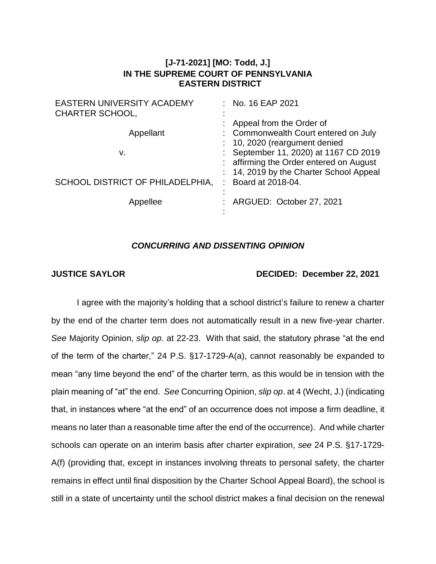## **[J-71-2021] [MO: Todd, J.] IN THE SUPREME COURT OF PENNSYLVANIA EASTERN DISTRICT**

| <b>EASTERN UNIVERSITY ACADEMY</b><br>CHARTER SCHOOL, | No. 16 EAP 2021                                                                                                             |
|------------------------------------------------------|-----------------------------------------------------------------------------------------------------------------------------|
| Appellant                                            | Appeal from the Order of<br>: Commonwealth Court entered on July<br>$: 10, 2020$ (reargument denied                         |
| v.                                                   | : September 11, 2020) at 1167 CD 2019<br>: affirming the Order entered on August<br>: 14, 2019 by the Charter School Appeal |
| SCHOOL DISTRICT OF PHILADELPHIA,                     | Board at 2018-04.                                                                                                           |
| Appellee                                             | ARGUED: October 27, 2021                                                                                                    |

## *CONCURRING AND DISSENTING OPINION*

## **JUSTICE SAYLOR DECIDED: December 22, 2021**

I agree with the majority's holding that a school district's failure to renew a charter by the end of the charter term does not automatically result in a new five-year charter. *See* Majority Opinion, *slip op*. at 22-23. With that said, the statutory phrase "at the end of the term of the charter," 24 P.S. §17-1729-A(a), cannot reasonably be expanded to mean "any time beyond the end" of the charter term, as this would be in tension with the plain meaning of "at" the end. *See* Concurring Opinion, *slip op*. at 4 (Wecht, J.) (indicating that, in instances where "at the end" of an occurrence does not impose a firm deadline, it means no later than a reasonable time after the end of the occurrence). And while charter schools can operate on an interim basis after charter expiration, *see* 24 P.S. §17-1729- A(f) (providing that, except in instances involving threats to personal safety, the charter remains in effect until final disposition by the Charter School Appeal Board), the school is still in a state of uncertainty until the school district makes a final decision on the renewal